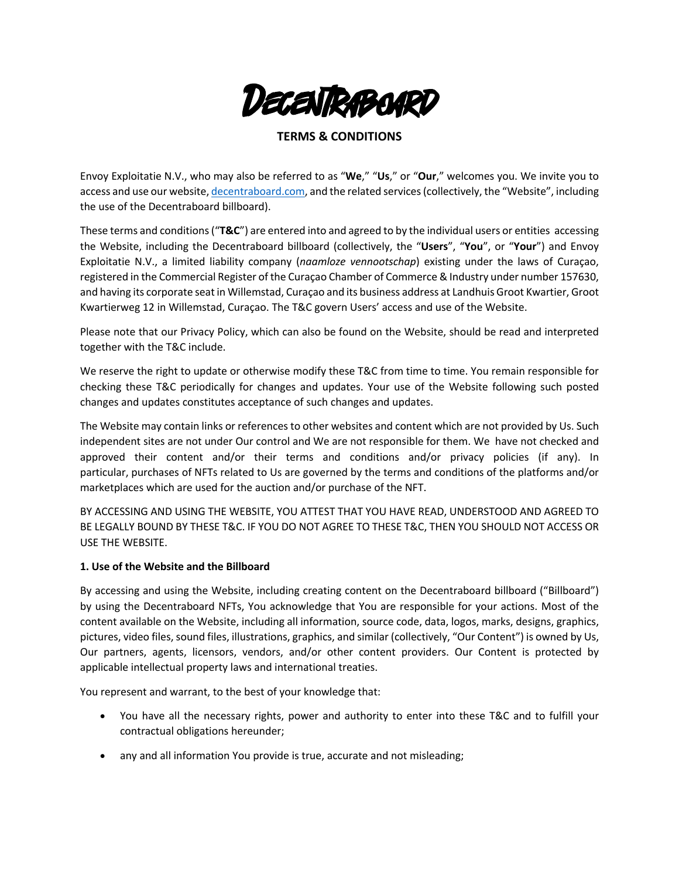

# **TERMS & CONDITIONS**

Envoy Exploitatie N.V., who may also be referred to as "**We**," "**Us**," or "**Our**," welcomes you. We invite you to access and use our website, decentraboard.com, and the related services(collectively, the "Website", including the use of the Decentraboard billboard).

These terms and conditions("**T&C**") are entered into and agreed to by the individual users or entities accessing the Website, including the Decentraboard billboard (collectively, the "**Users**", "**You**", or "**Your**") and Envoy Exploitatie N.V., a limited liability company (*naamloze vennootschap*) existing under the laws of Curaçao, registered in the Commercial Register of the Curaçao Chamber of Commerce & Industry under number 157630, and having its corporate seat in Willemstad, Curaçao and its business address at Landhuis Groot Kwartier, Groot Kwartierweg 12 in Willemstad, Curaçao. The T&C govern Users' access and use of the Website.

Please note that our Privacy Policy, which can also be found on the Website, should be read and interpreted together with the T&C include.

We reserve the right to update or otherwise modify these T&C from time to time. You remain responsible for checking these T&C periodically for changes and updates. Your use of the Website following such posted changes and updates constitutes acceptance of such changes and updates.

The Website may contain links or references to other websites and content which are not provided by Us. Such independent sites are not under Our control and We are not responsible for them. We have not checked and approved their content and/or their terms and conditions and/or privacy policies (if any). In particular, purchases of NFTs related to Us are governed by the terms and conditions of the platforms and/or marketplaces which are used for the auction and/or purchase of the NFT.

BY ACCESSING AND USING THE WEBSITE, YOU ATTEST THAT YOU HAVE READ, UNDERSTOOD AND AGREED TO BE LEGALLY BOUND BY THESE T&C. IF YOU DO NOT AGREE TO THESE T&C, THEN YOU SHOULD NOT ACCESS OR USE THE WEBSITE.

#### **1. Use of the Website and the Billboard**

By accessing and using the Website, including creating content on the Decentraboard billboard ("Billboard") by using the Decentraboard NFTs, You acknowledge that You are responsible for your actions. Most of the content available on the Website, including all information, source code, data, logos, marks, designs, graphics, pictures, video files, sound files, illustrations, graphics, and similar (collectively, "Our Content") is owned by Us, Our partners, agents, licensors, vendors, and/or other content providers. Our Content is protected by applicable intellectual property laws and international treaties.

You represent and warrant, to the best of your knowledge that:

- You have all the necessary rights, power and authority to enter into these T&C and to fulfill your contractual obligations hereunder;
- any and all information You provide is true, accurate and not misleading;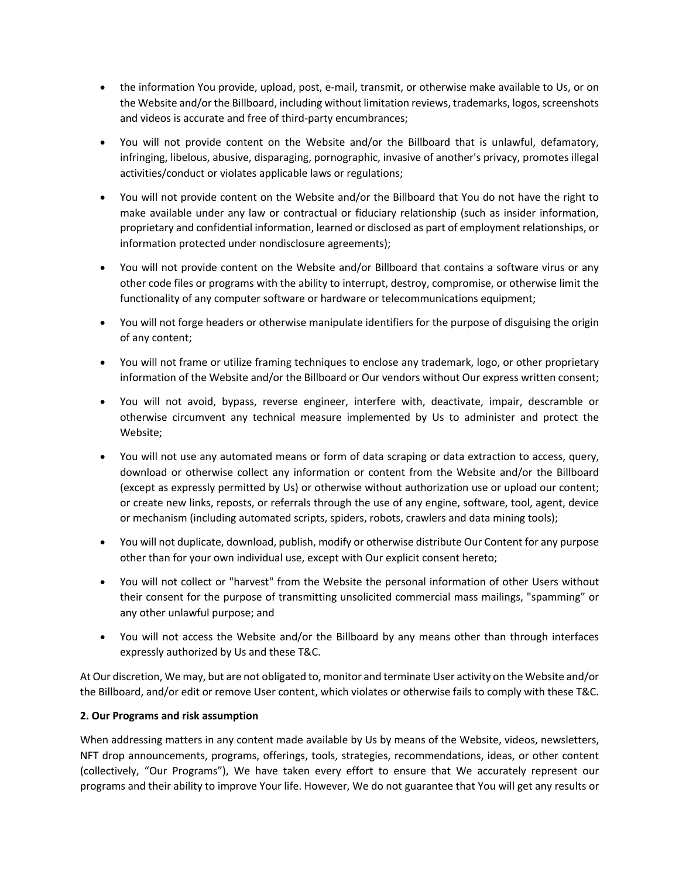- the information You provide, upload, post, e-mail, transmit, or otherwise make available to Us, or on the Website and/or the Billboard, including without limitation reviews, trademarks, logos, screenshots and videos is accurate and free of third-party encumbrances;
- You will not provide content on the Website and/or the Billboard that is unlawful, defamatory, infringing, libelous, abusive, disparaging, pornographic, invasive of another's privacy, promotes illegal activities/conduct or violates applicable laws or regulations;
- You will not provide content on the Website and/or the Billboard that You do not have the right to make available under any law or contractual or fiduciary relationship (such as insider information, proprietary and confidential information, learned or disclosed as part of employment relationships, or information protected under nondisclosure agreements);
- You will not provide content on the Website and/or Billboard that contains a software virus or any other code files or programs with the ability to interrupt, destroy, compromise, or otherwise limit the functionality of any computer software or hardware or telecommunications equipment;
- You will not forge headers or otherwise manipulate identifiers for the purpose of disguising the origin of any content;
- You will not frame or utilize framing techniques to enclose any trademark, logo, or other proprietary information of the Website and/or the Billboard or Our vendors without Our express written consent;
- You will not avoid, bypass, reverse engineer, interfere with, deactivate, impair, descramble or otherwise circumvent any technical measure implemented by Us to administer and protect the Website;
- You will not use any automated means or form of data scraping or data extraction to access, query, download or otherwise collect any information or content from the Website and/or the Billboard (except as expressly permitted by Us) or otherwise without authorization use or upload our content; or create new links, reposts, or referrals through the use of any engine, software, tool, agent, device or mechanism (including automated scripts, spiders, robots, crawlers and data mining tools);
- You will not duplicate, download, publish, modify or otherwise distribute Our Content for any purpose other than for your own individual use, except with Our explicit consent hereto;
- You will not collect or "harvest" from the Website the personal information of other Users without their consent for the purpose of transmitting unsolicited commercial mass mailings, "spamming" or any other unlawful purpose; and
- You will not access the Website and/or the Billboard by any means other than through interfaces expressly authorized by Us and these T&C.

At Our discretion, We may, but are not obligated to, monitor and terminate User activity on the Website and/or the Billboard, and/or edit or remove User content, which violates or otherwise fails to comply with these T&C.

# **2. Our Programs and risk assumption**

When addressing matters in any content made available by Us by means of the Website, videos, newsletters, NFT drop announcements, programs, offerings, tools, strategies, recommendations, ideas, or other content (collectively, "Our Programs"), We have taken every effort to ensure that We accurately represent our programs and their ability to improve Your life. However, We do not guarantee that You will get any results or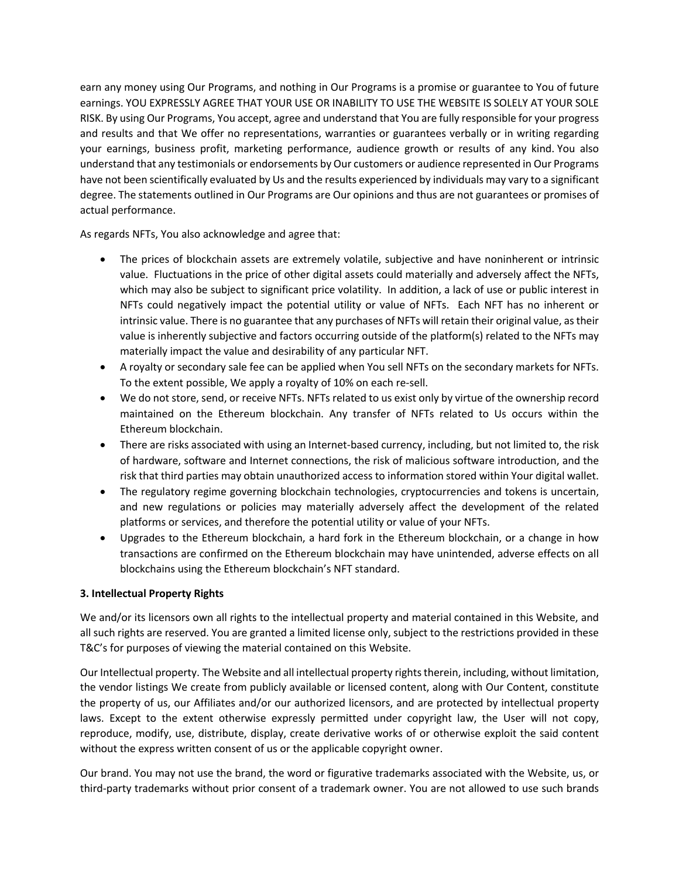earn any money using Our Programs, and nothing in Our Programs is a promise or guarantee to You of future earnings. YOU EXPRESSLY AGREE THAT YOUR USE OR INABILITY TO USE THE WEBSITE IS SOLELY AT YOUR SOLE RISK. By using Our Programs, You accept, agree and understand that You are fully responsible for your progress and results and that We offer no representations, warranties or guarantees verbally or in writing regarding your earnings, business profit, marketing performance, audience growth or results of any kind. You also understand that any testimonials or endorsements by Our customers or audience represented in Our Programs have not been scientifically evaluated by Us and the results experienced by individuals may vary to a significant degree. The statements outlined in Our Programs are Our opinions and thus are not guarantees or promises of actual performance.

As regards NFTs, You also acknowledge and agree that:

- The prices of blockchain assets are extremely volatile, subjective and have noninherent or intrinsic value. Fluctuations in the price of other digital assets could materially and adversely affect the NFTs, which may also be subject to significant price volatility. In addition, a lack of use or public interest in NFTs could negatively impact the potential utility or value of NFTs. Each NFT has no inherent or intrinsic value. There is no guarantee that any purchases of NFTs will retain their original value, as their value is inherently subjective and factors occurring outside of the platform(s) related to the NFTs may materially impact the value and desirability of any particular NFT.
- A royalty or secondary sale fee can be applied when You sell NFTs on the secondary markets for NFTs. To the extent possible, We apply a royalty of 10% on each re-sell.
- We do not store, send, or receive NFTs. NFTs related to us exist only by virtue of the ownership record maintained on the Ethereum blockchain. Any transfer of NFTs related to Us occurs within the Ethereum blockchain.
- There are risks associated with using an Internet-based currency, including, but not limited to, the risk of hardware, software and Internet connections, the risk of malicious software introduction, and the risk that third parties may obtain unauthorized access to information stored within Your digital wallet.
- The regulatory regime governing blockchain technologies, cryptocurrencies and tokens is uncertain, and new regulations or policies may materially adversely affect the development of the related platforms or services, and therefore the potential utility or value of your NFTs.
- Upgrades to the Ethereum blockchain, a hard fork in the Ethereum blockchain, or a change in how transactions are confirmed on the Ethereum blockchain may have unintended, adverse effects on all blockchains using the Ethereum blockchain's NFT standard.

# **3. Intellectual Property Rights**

We and/or its licensors own all rights to the intellectual property and material contained in this Website, and all such rights are reserved. You are granted a limited license only, subject to the restrictions provided in these T&C's for purposes of viewing the material contained on this Website.

Our Intellectual property. The Website and all intellectual property rights therein, including, without limitation, the vendor listings We create from publicly available or licensed content, along with Our Content, constitute the property of us, our Affiliates and/or our authorized licensors, and are protected by intellectual property laws. Except to the extent otherwise expressly permitted under copyright law, the User will not copy, reproduce, modify, use, distribute, display, create derivative works of or otherwise exploit the said content without the express written consent of us or the applicable copyright owner.

Our brand. You may not use the brand, the word or figurative trademarks associated with the Website, us, or third-party trademarks without prior consent of a trademark owner. You are not allowed to use such brands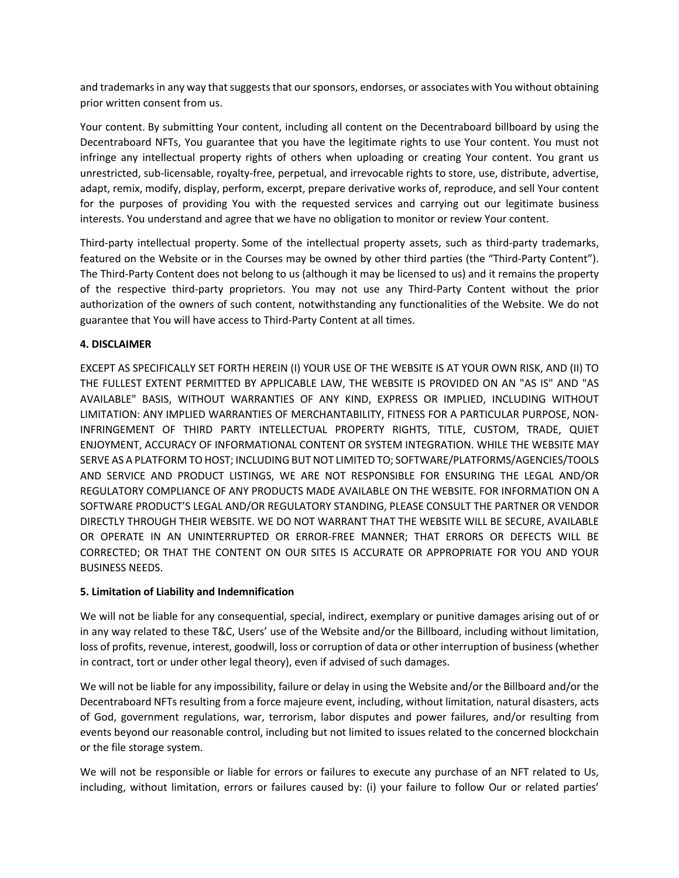and trademarks in any way that suggests that our sponsors, endorses, or associates with You without obtaining prior written consent from us.

Your content. By submitting Your content, including all content on the Decentraboard billboard by using the Decentraboard NFTs, You guarantee that you have the legitimate rights to use Your content. You must not infringe any intellectual property rights of others when uploading or creating Your content. You grant us unrestricted, sub-licensable, royalty-free, perpetual, and irrevocable rights to store, use, distribute, advertise, adapt, remix, modify, display, perform, excerpt, prepare derivative works of, reproduce, and sell Your content for the purposes of providing You with the requested services and carrying out our legitimate business interests. You understand and agree that we have no obligation to monitor or review Your content.

Third-party intellectual property. Some of the intellectual property assets, such as third-party trademarks, featured on the Website or in the Courses may be owned by other third parties (the "Third-Party Content"). The Third-Party Content does not belong to us (although it may be licensed to us) and it remains the property of the respective third-party proprietors. You may not use any Third-Party Content without the prior authorization of the owners of such content, notwithstanding any functionalities of the Website. We do not guarantee that You will have access to Third-Party Content at all times.

# **4. DISCLAIMER**

EXCEPT AS SPECIFICALLY SET FORTH HEREIN (I) YOUR USE OF THE WEBSITE IS AT YOUR OWN RISK, AND (II) TO THE FULLEST EXTENT PERMITTED BY APPLICABLE LAW, THE WEBSITE IS PROVIDED ON AN "AS IS" AND "AS AVAILABLE" BASIS, WITHOUT WARRANTIES OF ANY KIND, EXPRESS OR IMPLIED, INCLUDING WITHOUT LIMITATION: ANY IMPLIED WARRANTIES OF MERCHANTABILITY, FITNESS FOR A PARTICULAR PURPOSE, NON-INFRINGEMENT OF THIRD PARTY INTELLECTUAL PROPERTY RIGHTS, TITLE, CUSTOM, TRADE, QUIET ENJOYMENT, ACCURACY OF INFORMATIONAL CONTENT OR SYSTEM INTEGRATION. WHILE THE WEBSITE MAY SERVE AS A PLATFORM TO HOST; INCLUDING BUT NOT LIMITED TO; SOFTWARE/PLATFORMS/AGENCIES/TOOLS AND SERVICE AND PRODUCT LISTINGS, WE ARE NOT RESPONSIBLE FOR ENSURING THE LEGAL AND/OR REGULATORY COMPLIANCE OF ANY PRODUCTS MADE AVAILABLE ON THE WEBSITE. FOR INFORMATION ON A SOFTWARE PRODUCT'S LEGAL AND/OR REGULATORY STANDING, PLEASE CONSULT THE PARTNER OR VENDOR DIRECTLY THROUGH THEIR WEBSITE. WE DO NOT WARRANT THAT THE WEBSITE WILL BE SECURE, AVAILABLE OR OPERATE IN AN UNINTERRUPTED OR ERROR-FREE MANNER; THAT ERRORS OR DEFECTS WILL BE CORRECTED; OR THAT THE CONTENT ON OUR SITES IS ACCURATE OR APPROPRIATE FOR YOU AND YOUR BUSINESS NEEDS.

# **5. Limitation of Liability and Indemnification**

We will not be liable for any consequential, special, indirect, exemplary or punitive damages arising out of or in any way related to these T&C, Users' use of the Website and/or the Billboard, including without limitation, loss of profits, revenue, interest, goodwill, loss or corruption of data or other interruption of business (whether in contract, tort or under other legal theory), even if advised of such damages.

We will not be liable for any impossibility, failure or delay in using the Website and/or the Billboard and/or the Decentraboard NFTs resulting from a force majeure event, including, without limitation, natural disasters, acts of God, government regulations, war, terrorism, labor disputes and power failures, and/or resulting from events beyond our reasonable control, including but not limited to issues related to the concerned blockchain or the file storage system.

We will not be responsible or liable for errors or failures to execute any purchase of an NFT related to Us, including, without limitation, errors or failures caused by: (i) your failure to follow Our or related parties'